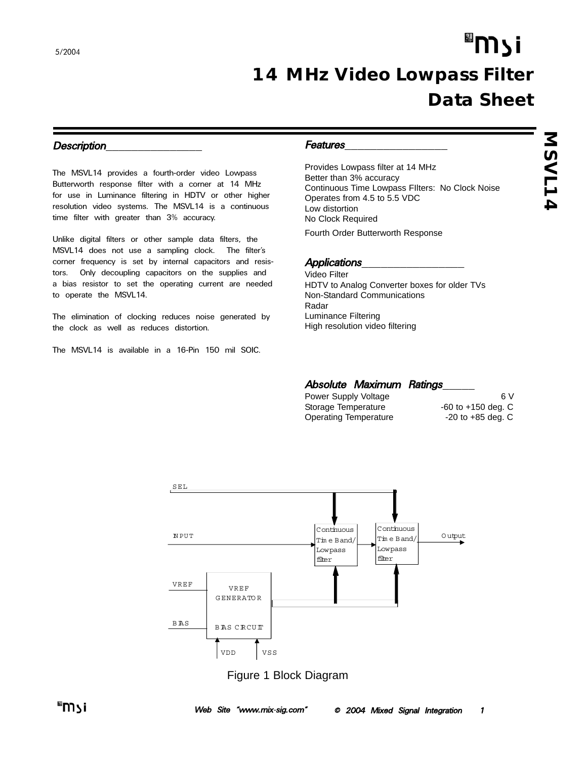# "וֿ צ∩ *14 MHz Video Lowpass Filter Data Sheet*

### Description

The MSVL14 provides a fourth-order video Lowpass Butterworth response filter with a corner at 14 MHz for use in Luminance filtering in HDTV or other higher resolution video systems. The MSVL14 is a continuous time filter with greater than 3% accuracy.

Unlike digital filters or other sample data filters, the MSVL14 does not use a sampling clock. The filter's corner frequency is set by internal capacitors and resistors. Only decoupling capacitors on the supplies and a bias resistor to set the operating current are needed to operate the MSVL14.

The elimination of clocking reduces noise generated by the clock as well as reduces distortion.

The MSVL14 is available in a 16-Pin 150 mil SOIC.

### Features\_\_\_\_\_\_\_\_\_\_\_\_\_\_\_\_

Provides Lowpass filter at 14 MHz Better than 3% accuracy Continuous Time Lowpass FIlters: No Clock Noise Operates from 4.5 to 5.5 VDC Low distortion No Clock Required

Fourth Order Butterworth Response

## Applications\_\_\_\_\_\_\_\_\_\_\_\_\_\_\_\_

Video Filter HDTV to Analog Converter boxes for older TVs Non-Standard Communications Radar Luminance Filtering High resolution video filtering

## Absolute Maximum Ratings

| Power Supply Voltage  | 6V                     |
|-----------------------|------------------------|
| Storage Temperature   | $-60$ to $+150$ deg. C |
| Operating Temperature | $-20$ to $+85$ deg. C  |



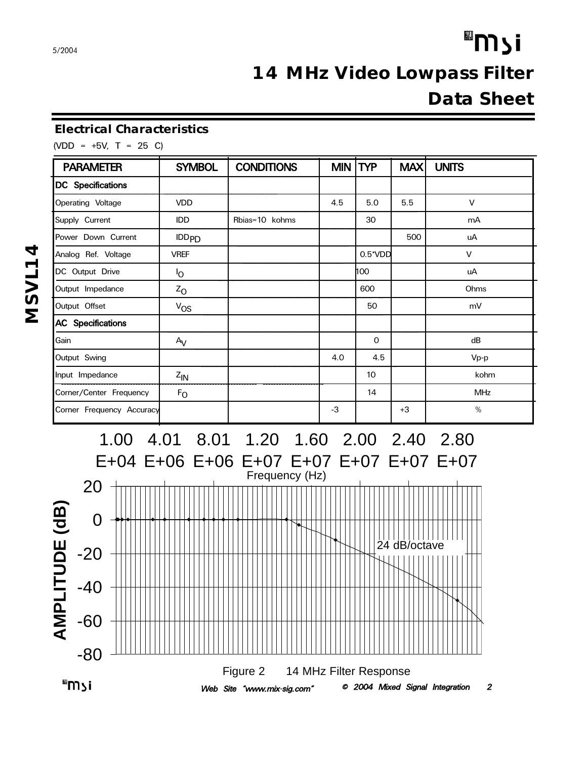# "וֿ צ∩ *14 MHz Video Lowpass Filter Data Sheet*

## *Electrical Characteristics*

(VDD = +5V, T = 25 C)

| <b>PARAMETER</b>          | <b>SYMBOL</b>  | <b>CONDITIONS</b> | MIN TYP |                  | MAX  | <b>UNITS</b> |
|---------------------------|----------------|-------------------|---------|------------------|------|--------------|
| <b>DC</b> Specifications  |                |                   |         |                  |      |              |
| Operating Voltage         | <b>VDD</b>     |                   | 4.5     | 5.0              | 5.5  | $\vee$       |
| Supply Current            | <b>IDD</b>     | Rbias=10 kohms    |         | 30               |      | mA           |
| Power Down Current        | $IDD_{PD}$     |                   |         |                  | 500  | uA           |
| Analog Ref. Voltage       | <b>VREF</b>    |                   |         | $0.5^{\ast}$ VDD |      | $\vee$       |
| DC Output Drive           | <sup>l</sup> o |                   |         | 100              |      | uA           |
| Output Impedance          | $Z_{O}$        |                   |         | 600              |      | Ohms         |
| Output Offset             | $V_{OS}$       |                   |         | 50               |      | mV           |
| <b>AC</b> Specifications  |                |                   |         |                  |      |              |
| Gain                      | $A_V$          |                   |         | 0                |      | dB           |
| Output Swing              |                |                   | 4.0     | 4.5              |      | Vp-p         |
| Input Impedance           | $Z_{IN}$       |                   |         | 10               |      | kohm         |
| Corner/Center Frequency   | $F_{O}$        |                   |         | 14               |      | <b>MHz</b>   |
| Corner Frequency Accuracy |                |                   | -3      |                  | $+3$ | %            |

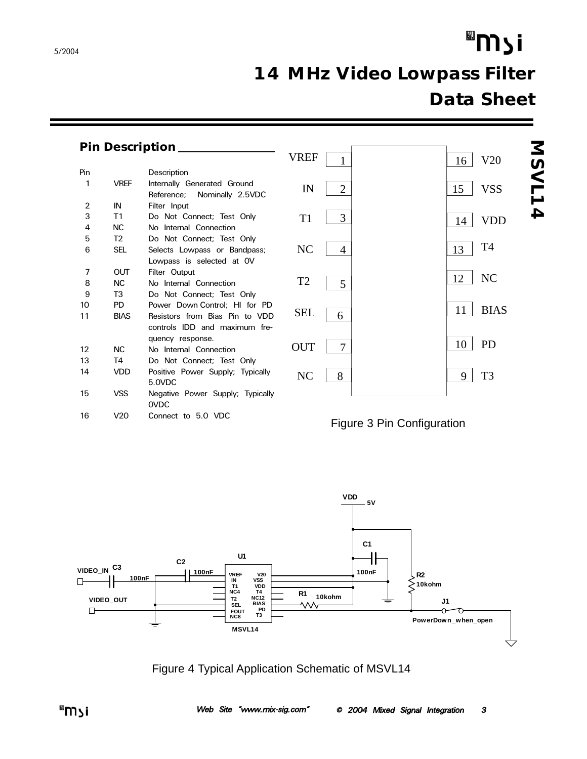# "וֿ צ<sup>װ</sup>

# *14 MHz Video Lowpass Filter Data Sheet*

|                |                | <b>Pin Description</b>                                        |                      |                                  |
|----------------|----------------|---------------------------------------------------------------|----------------------|----------------------------------|
|                |                |                                                               | <b>VREF</b>          | V20<br>16                        |
| Pin            |                | Description                                                   |                      |                                  |
| 1              | <b>VREF</b>    | Internally Generated Ground<br>Reference;<br>Nominally 2.5VDC | IN<br>$\overline{2}$ | <b>NSVL1</b><br><b>VSS</b><br>15 |
| $\overline{2}$ | IN             | Filter Input                                                  |                      |                                  |
| 3              | T1             | Do Not Connect; Test Only                                     | 3<br>T <sub>1</sub>  | 4<br><b>VDD</b><br>14            |
| 4              | <b>NC</b>      | No Internal Connection                                        |                      |                                  |
| 5              | T <sub>2</sub> | Do Not Connect; Test Only                                     |                      |                                  |
| 6              | <b>SEL</b>     | Selects Lowpass or Bandpass;                                  | NC<br>4              | T <sub>4</sub><br>13             |
|                |                | Lowpass is selected at OV                                     |                      |                                  |
| 7              | <b>OUT</b>     | Filter Output                                                 |                      | NC<br>12                         |
| 8              | <b>NC</b>      | No Internal Connection                                        | T <sub>2</sub><br>5  |                                  |
| 9              | T3             | Do Not Connect; Test Only                                     |                      |                                  |
| 10             | <b>PD</b>      | Power Down Control; HI for PD                                 | <b>SEL</b>           | <b>BIAS</b><br>11                |
| 11             | <b>BIAS</b>    | Resistors from Bias Pin to VDD                                | 6                    |                                  |
|                |                | controls IDD and maximum fre-                                 |                      |                                  |
|                |                | quency response.                                              | <b>OUT</b><br>7      | <b>PD</b><br>10                  |
| 12             | <b>NC</b>      | No Internal Connection                                        |                      |                                  |
| 13             | T4             | Do Not Connect; Test Only                                     |                      |                                  |
| 14             | <b>VDD</b>     | Positive Power Supply; Typically                              | NC<br>8              | T <sub>3</sub><br>9              |
|                |                | 5.0VDC                                                        |                      |                                  |
| 15             | <b>VSS</b>     | Negative Power Supply; Typically<br><b>OVDC</b>               |                      |                                  |
| 16             | V20            | Connect to 5.0 VDC                                            |                      | Figure 3 Pin Configuration       |